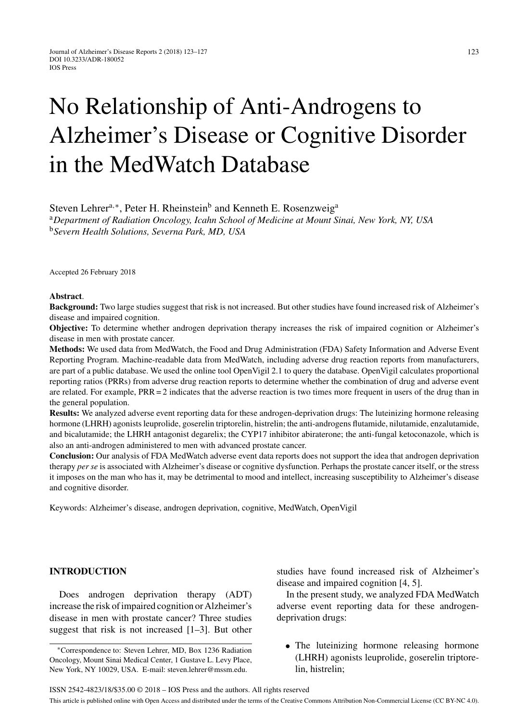# No Relationship of Anti-Androgens to Alzheimer's Disease or Cognitive Disorder in the MedWatch Database

Steven Lehrer<sup>a,∗</sup>, Peter H. Rheinstein<sup>b</sup> and Kenneth E. Rosenzweig<sup>a</sup>

<sup>a</sup>*Department of Radiation Oncology, Icahn School of Medicine at Mount Sinai, New York, NY, USA* <sup>b</sup>*Severn Health Solutions, Severna Park, MD, USA*

Accepted 26 February 2018

#### **Abstract**.

**Background:** Two large studies suggest that risk is not increased. But other studies have found increased risk of Alzheimer's disease and impaired cognition.

**Objective:** To determine whether androgen deprivation therapy increases the risk of impaired cognition or Alzheimer's disease in men with prostate cancer.

**Methods:** We used data from MedWatch, the Food and Drug Administration (FDA) Safety Information and Adverse Event Reporting Program. Machine-readable data from MedWatch, including adverse drug reaction reports from manufacturers, are part of a public database. We used the online tool OpenVigil 2.1 to query the database. OpenVigil calculates proportional reporting ratios (PRRs) from adverse drug reaction reports to determine whether the combination of drug and adverse event are related. For example, PRR = 2 indicates that the adverse reaction is two times more frequent in users of the drug than in the general population.

**Results:** We analyzed adverse event reporting data for these androgen-deprivation drugs: The luteinizing hormone releasing hormone (LHRH) agonists leuprolide, goserelin triptorelin, histrelin; the anti-androgens flutamide, nilutamide, enzalutamide, and bicalutamide; the LHRH antagonist degarelix; the CYP17 inhibitor abiraterone; the anti-fungal ketoconazole, which is also an anti-androgen administered to men with advanced prostate cancer.

**Conclusion:** Our analysis of FDA MedWatch adverse event data reports does not support the idea that androgen deprivation therapy *per se* is associated with Alzheimer's disease or cognitive dysfunction. Perhaps the prostate cancer itself, or the stress it imposes on the man who has it, may be detrimental to mood and intellect, increasing susceptibility to Alzheimer's disease and cognitive disorder.

Keywords: Alzheimer's disease, androgen deprivation, cognitive, MedWatch, OpenVigil

# **INTRODUCTION**

Does androgen deprivation therapy (ADT) increase the risk of impaired cognition or Alzheimer's disease in men with prostate cancer? Three studies suggest that risk is not increased [1–3]. But other studies have found increased risk of Alzheimer's disease and impaired cognition [4, 5].

In the present study, we analyzed FDA MedWatch adverse event reporting data for these androgendeprivation drugs:

• The luteinizing hormone releasing hormone (LHRH) agonists leuprolide, goserelin triptorelin, histrelin;

<sup>∗</sup>Correspondence to: Steven Lehrer, MD, Box 1236 Radiation Oncology, Mount Sinai Medical Center, 1 Gustave L. Levy Place, New York, NY 10029, USA. E-mail: [steven.lehrer@mssm.edu.](mailto:steven.lehrer@mssm.edu)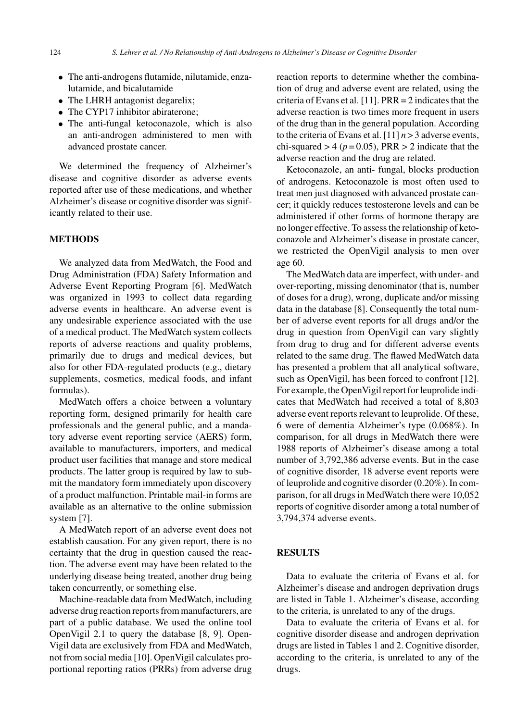- The anti-androgens flutamide, nilutamide, enzalutamide, and bicalutamide
- The LHRH antagonist degarelix;
- The CYP17 inhibitor abiraterone;
- The anti-fungal ketoconazole, which is also an anti-androgen administered to men with advanced prostate cancer.

We determined the frequency of Alzheimer's disease and cognitive disorder as adverse events reported after use of these medications, and whether Alzheimer's disease or cognitive disorder was significantly related to their use.

## **METHODS**

We analyzed data from MedWatch, the Food and Drug Administration (FDA) Safety Information and Adverse Event Reporting Program [6]. MedWatch was organized in 1993 to collect data regarding adverse events in healthcare. An adverse event is any undesirable experience associated with the use of a medical product. The MedWatch system collects reports of adverse reactions and quality problems, primarily due to drugs and medical devices, but also for other FDA-regulated products (e.g., dietary supplements, cosmetics, medical foods, and infant formulas).

MedWatch offers a choice between a voluntary reporting form, designed primarily for health care professionals and the general public, and a mandatory adverse event reporting service (AERS) form, available to manufacturers, importers, and medical product user facilities that manage and store medical products. The latter group is required by law to submit the mandatory form immediately upon discovery of a product malfunction. Printable mail-in forms are available as an alternative to the online submission system [7].

A MedWatch report of an adverse event does not establish causation. For any given report, there is no certainty that the drug in question caused the reaction. The adverse event may have been related to the underlying disease being treated, another drug being taken concurrently, or something else.

Machine-readable data from MedWatch, including adverse drug reaction reports from manufacturers, are part of a public database. We used the online tool OpenVigil 2.1 to query the database [8, 9]. Open-Vigil data are exclusively from FDA and MedWatch, not from social media [10]. OpenVigil calculates proportional reporting ratios (PRRs) from adverse drug reaction reports to determine whether the combination of drug and adverse event are related, using the criteria of Evans et al. [11]. PRR = 2 indicates that the adverse reaction is two times more frequent in users of the drug than in the general population. According to the criteria of Evans et al.  $[11]$   $n > 3$  adverse events, chi-squared  $> 4$  ( $p = 0.05$ ), PRR  $> 2$  indicate that the adverse reaction and the drug are related.

Ketoconazole, an anti- fungal, blocks production of androgens. Ketoconazole is most often used to treat men just diagnosed with advanced prostate cancer; it quickly reduces testosterone levels and can be administered if other forms of hormone therapy are no longer effective. To assess the relationship of ketoconazole and Alzheimer's disease in prostate cancer, we restricted the OpenVigil analysis to men over age 60.

The MedWatch data are imperfect, with under- and over-reporting, missing denominator (that is, number of doses for a drug), wrong, duplicate and/or missing data in the database [8]. Consequently the total number of adverse event reports for all drugs and/or the drug in question from OpenVigil can vary slightly from drug to drug and for different adverse events related to the same drug. The flawed MedWatch data has presented a problem that all analytical software, such as OpenVigil, has been forced to confront [12]. For example, the OpenVigil report for leuprolide indicates that MedWatch had received a total of 8,803 adverse event reports relevant to leuprolide. Of these, 6 were of dementia Alzheimer's type (0.068%). In comparison, for all drugs in MedWatch there were 1988 reports of Alzheimer's disease among a total number of 3,792,386 adverse events. But in the case of cognitive disorder, 18 adverse event reports were of leuprolide and cognitive disorder (0.20%). In comparison, for all drugs in MedWatch there were 10,052 reports of cognitive disorder among a total number of 3,794,374 adverse events.

#### **RESULTS**

Data to evaluate the criteria of Evans et al. for Alzheimer's disease and androgen deprivation drugs are listed in Table 1. Alzheimer's disease, according to the criteria, is unrelated to any of the drugs.

Data to evaluate the criteria of Evans et al. for cognitive disorder disease and androgen deprivation drugs are listed in Tables 1 and 2. Cognitive disorder, according to the criteria, is unrelated to any of the drugs.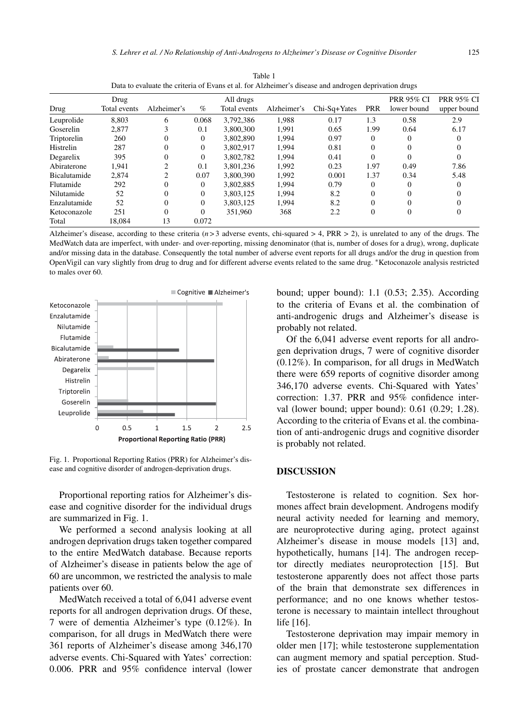| ance are errorm or Byano et an ror i mineriner o ancease and androgen deprivation drugo |              |                |          |              |             |                  |            |                   |                   |  |
|-----------------------------------------------------------------------------------------|--------------|----------------|----------|--------------|-------------|------------------|------------|-------------------|-------------------|--|
|                                                                                         | Drug         |                |          | All drugs    |             |                  |            | <b>PRR 95% CI</b> | <b>PRR 95% CI</b> |  |
| Drug                                                                                    | Total events | Alzheimer's    | $\%$     | Total events | Alzheimer's | $Chi-Sq+Yates$   | <b>PRR</b> | lower bound       | upper bound       |  |
| Leuprolide                                                                              | 8,803        | 6              | 0.068    | 3,792,386    | 1,988       | 0.17             | 1.3        | 0.58              | 2.9               |  |
| Goserelin                                                                               | 2.877        | 3              | 0.1      | 3,800,300    | 1,991       | 0.65             | 1.99       | 0.64              | 6.17              |  |
| Triptorelin                                                                             | 260          | 0              | $\Omega$ | 3.802.890    | 1,994       | 0.97             | $\Omega$   | $^{0}$            | $\Omega$          |  |
| Histrelin                                                                               | 287          | $\Omega$       | $\Omega$ | 3,802,917    | 1.994       | 0.81             | $\Omega$   | $\Omega$          |                   |  |
| Degarelix                                                                               | 395          | $\overline{0}$ | $\Omega$ | 3.802.782    | 1,994       | 0.41             | $\Omega$   | 0                 | $\Omega$          |  |
| Abiraterone                                                                             | 1.941        | $\overline{2}$ | 0.1      | 3.801.236    | 1.992       | 0.23             | 1.97       | 0.49              | 7.86              |  |
| <b>Bicalutamide</b>                                                                     | 2.874        | $\overline{c}$ | 0.07     | 3.800.390    | 1,992       | 0.001            | 1.37       | 0.34              | 5.48              |  |
| Flutamide                                                                               | 292          | 0              | $\Omega$ | 3.802.885    | 1.994       | 0.79             | $\Omega$   | $\Omega$          |                   |  |
| Nilutamide                                                                              | 52           | 0              | $\Omega$ | 3,803,125    | 1,994       | 8.2              | $\Omega$   | 0                 |                   |  |
| Enzalutamide                                                                            | 52           | $\theta$       | $\Omega$ | 3.803.125    | 1.994       | 8.2              | $\Omega$   |                   |                   |  |
| Ketoconazole                                                                            | 251          | $\theta$       | $\Omega$ | 351.960      | 368         | $2.2\phantom{0}$ | $\Omega$   | 0                 | 0                 |  |
| Total                                                                                   | 18.084       | 13             | 0.072    |              |             |                  |            |                   |                   |  |

Table 1 Data to evaluate the criteria of Evans et al. for Alzheimer's disease and androgen deprivation drugs

Alzheimer's disease, according to these criteria  $(n>3)$  adverse events, chi-squared  $> 4$ , PRR  $> 2$ ), is unrelated to any of the drugs. The MedWatch data are imperfect, with under- and over-reporting, missing denominator (that is, number of doses for a drug), wrong, duplicate and/or missing data in the database. Consequently the total number of adverse event reports for all drugs and/or the drug in question from OpenVigil can vary slightly from drug to drug and for different adverse events related to the same drug. ∗Ketoconazole analysis restricted to males over 60.



Fig. 1. Proportional Reporting Ratios (PRR) for Alzheimer's disease and cognitive disorder of androgen-deprivation drugs.

Proportional reporting ratios for Alzheimer's disease and cognitive disorder for the individual drugs are summarized in Fig. 1.

We performed a second analysis looking at all androgen deprivation drugs taken together compared to the entire MedWatch database. Because reports of Alzheimer's disease in patients below the age of 60 are uncommon, we restricted the analysis to male patients over 60.

MedWatch received a total of 6,041 adverse event reports for all androgen deprivation drugs. Of these, 7 were of dementia Alzheimer's type (0.12%). In comparison, for all drugs in MedWatch there were 361 reports of Alzheimer's disease among 346,170 adverse events. Chi-Squared with Yates' correction: 0.006. PRR and 95% confidence interval (lower bound; upper bound): 1.1 (0.53; 2.35). According to the criteria of Evans et al. the combination of anti-androgenic drugs and Alzheimer's disease is probably not related.

Of the 6,041 adverse event reports for all androgen deprivation drugs, 7 were of cognitive disorder (0.12%). In comparison, for all drugs in MedWatch there were 659 reports of cognitive disorder among 346,170 adverse events. Chi-Squared with Yates' correction: 1.37. PRR and 95% confidence interval (lower bound; upper bound): 0.61 (0.29; 1.28). According to the criteria of Evans et al. the combination of anti-androgenic drugs and cognitive disorder is probably not related.

## **DISCUSSION**

Testosterone is related to cognition. Sex hormones affect brain development. Androgens modify neural activity needed for learning and memory, are neuroprotective during aging, protect against Alzheimer's disease in mouse models [13] and, hypothetically, humans [14]. The androgen receptor directly mediates neuroprotection [15]. But testosterone apparently does not affect those parts of the brain that demonstrate sex differences in performance; and no one knows whether testosterone is necessary to maintain intellect throughout life [16].

Testosterone deprivation may impair memory in older men [17]; while testosterone supplementation can augment memory and spatial perception. Studies of prostate cancer demonstrate that androgen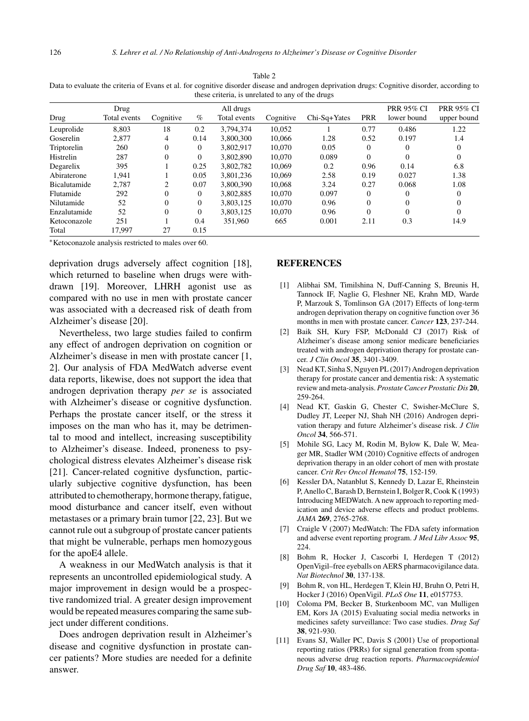| Data to evaluate the criteria of Evans et al. for cognitive ursoruer ursease and androgen deprivation drugs. Cognitive ursoruer, according to<br>these criteria, is unrelated to any of the drugs |                      |           |      |                           |           |              |            |                                  |                                  |  |  |  |
|---------------------------------------------------------------------------------------------------------------------------------------------------------------------------------------------------|----------------------|-----------|------|---------------------------|-----------|--------------|------------|----------------------------------|----------------------------------|--|--|--|
| Drug                                                                                                                                                                                              | Drug<br>Total events | Cognitive | $\%$ | All drugs<br>Total events | Cognitive | Chi-Sq+Yates | <b>PRR</b> | <b>PRR 95% CI</b><br>lower bound | <b>PRR 95% CI</b><br>upper bound |  |  |  |
| Leuprolide                                                                                                                                                                                        | 8.803                | 18        | 0.2  | 3.794.374                 | 10.052    |              | 0.77       | 0.486                            | 1.22                             |  |  |  |
| Goserelin                                                                                                                                                                                         | 2.877                | 4         | 0.14 | 3,800,300                 | 10.066    | 1.28         | 0.52       | 0.197                            | 1.4                              |  |  |  |
| Triptorelin                                                                                                                                                                                       | 260                  | 0         | 0    | 3.802.917                 | 10.070    | 0.05         | $\Omega$   | 0                                |                                  |  |  |  |
| Histrelin                                                                                                                                                                                         | 287                  | 0         | 0    | 3.802.890                 | 10.070    | 0.089        | $\Omega$   | $\Omega$                         |                                  |  |  |  |
| Degarelix                                                                                                                                                                                         | 395                  |           | 0.25 | 3.802.782                 | 10.069    | 0.2          | 0.96       | 0.14                             | 6.8                              |  |  |  |
| Abiraterone                                                                                                                                                                                       | 1.941                |           | 0.05 | 3.801.236                 | 10.069    | 2.58         | 0.19       | 0.027                            | 1.38                             |  |  |  |
| Bicalutamide                                                                                                                                                                                      | 2.787                | 2         | 0.07 | 3.800.390                 | 10.068    | 3.24         | 0.27       | 0.068                            | 1.08                             |  |  |  |
| Flutamide                                                                                                                                                                                         | 292                  |           | 0    | 3.802.885                 | 10.070    | 0.097        | $\Omega$   | 0                                |                                  |  |  |  |

Nilutamide 52 0 0 3,803,125 10,070 0.96 0 0 0 Enzalutamide 52 0 0 3,803,125 10,070 0.96 0 0 0 Ketoconazole 251 1 0.4 351,960 665 0.001 2.11 0.3 14.9

Table 2 Data to evaluate the criteria of Evans et al. for cognitive disorder disease and androgen deprivation drugs: Cognitive disorder, according to

Total 17,997 27 0.15 ∗Ketoconazole analysis restricted to males over 60.

deprivation drugs adversely affect cognition [18], which returned to baseline when drugs were withdrawn [19]. Moreover, LHRH agonist use as compared with no use in men with prostate cancer was associated with a decreased risk of death from Alzheimer's disease [20].

Nevertheless, two large studies failed to confirm any effect of androgen deprivation on cognition or Alzheimer's disease in men with prostate cancer [1, 2]. Our analysis of FDA MedWatch adverse event data reports, likewise, does not support the idea that androgen deprivation therapy *per se* is associated with Alzheimer's disease or cognitive dysfunction. Perhaps the prostate cancer itself, or the stress it imposes on the man who has it, may be detrimental to mood and intellect, increasing susceptibility to Alzheimer's disease. Indeed, proneness to psychological distress elevates Alzheimer's disease risk [21]. Cancer-related cognitive dysfunction, particularly subjective cognitive dysfunction, has been attributed to chemotherapy, hormone therapy, fatigue, mood disturbance and cancer itself, even without metastases or a primary brain tumor [22, 23]. But we cannot rule out a subgroup of prostate cancer patients that might be vulnerable, perhaps men homozygous for the apoE4 allele.

A weakness in our MedWatch analysis is that it represents an uncontrolled epidemiological study. A major improvement in design would be a prospective randomized trial. A greater design improvement would be repeated measures comparing the same subject under different conditions.

Does androgen deprivation result in Alzheimer's disease and cognitive dysfunction in prostate cancer patients? More studies are needed for a definite answer.

#### **REFERENCES**

- [1] Alibhai SM, Timilshina N, Duff-Canning S, Breunis H, Tannock IF, Naglie G, Fleshner NE, Krahn MD, Warde P, Marzouk S, Tomlinson GA (2017) Effects of long-term androgen deprivation therapy on cognitive function over 36 months in men with prostate cancer. *Cancer* **123**, 237-244.
- [2] Baik SH, Kury FSP, McDonald CJ (2017) Risk of Alzheimer's disease among senior medicare beneficiaries treated with androgen deprivation therapy for prostate cancer. *J Clin Oncol* **35**, 3401-3409.
- [3] Nead KT, Sinha S, Nguyen PL (2017) Androgen deprivation therapy for prostate cancer and dementia risk: A systematic review and meta-analysis. *Prostate Cancer Prostatic Dis* **20**, 259-264.
- [4] Nead KT, Gaskin G, Chester C, Swisher-McClure S, Dudley JT, Leeper NJ, Shah NH (2016) Androgen deprivation therapy and future Alzheimer's disease risk. *J Clin Oncol* **34**, 566-571.
- [5] Mohile SG, Lacy M, Rodin M, Bylow K, Dale W, Meager MR, Stadler WM (2010) Cognitive effects of androgen deprivation therapy in an older cohort of men with prostate cancer. *Crit Rev Oncol Hematol* **75**, 152-159.
- [6] Kessler DA, Natanblut S, Kennedy D, Lazar E, Rheinstein P, Anello C, Barash D, Bernstein I, Bolger R, Cook K (1993) Introducing MEDWatch. A new approach to reporting medication and device adverse effects and product problems. *JAMA* **269**, 2765-2768.
- [7] Craigle V (2007) MedWatch: The FDA safety information and adverse event reporting program. *J Med Libr Assoc* **95**, 224.
- [8] Bohm R, Hocker J, Cascorbi I, Herdegen T (2012) OpenVigil–free eyeballs on AERS pharmacovigilance data. *Nat Biotechnol* **30**, 137-138.
- [9] Bohm R, von HL, Herdegen T, Klein HJ, Bruhn O, Petri H, Hocker J (2016) OpenVigil. *PLoS One* **11**, e0157753.
- [10] Coloma PM, Becker B, Sturkenboom MC, van Mulligen EM, Kors JA (2015) Evaluating social media networks in medicines safety surveillance: Two case studies. *Drug Saf* **38**, 921-930.
- [11] Evans SJ, Waller PC, Davis S (2001) Use of proportional reporting ratios (PRRs) for signal generation from spontaneous adverse drug reaction reports. *Pharmacoepidemiol Drug Saf* **10**, 483-486.